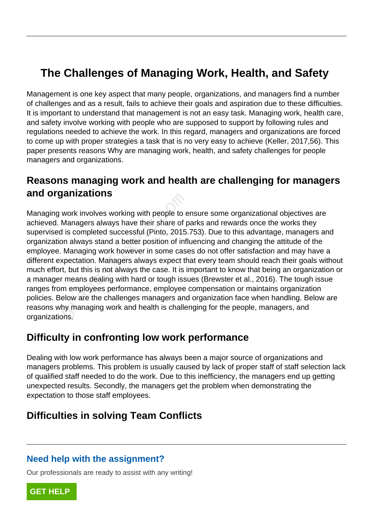# **The Challenges of Managing Work, Health, and Safety**

Management is one key aspect that many people, organizations, and managers find a number of challenges and as a result, fails to achieve their goals and aspiration due to these difficulties. It is important to understand that management is not an easy task. Managing work, health care, and safety involve working with people who are supposed to support by following rules and regulations needed to achieve the work. In this regard, managers and organizations are forced to come up with proper strategies a task that is no very easy to achieve (Keller, 2017,56). This paper presents reasons Why are managing work, health, and safety challenges for people managers and organizations.

## **Reasons managing work and health are challenging for managers and organizations**

Managing work involves working with people to ensure some organizational objectives are achieved. Managers always have their share of parks and rewards once the works they supervised is completed successful (Pinto, 2015.753). Due to this advantage, managers and organization always stand a better position of influencing and changing the attitude of the employee. Managing work however in some cases do not offer satisfaction and may have a different expectation. Managers always expect that every team should reach their goals without much effort, but this is not always the case. It is important to know that being an organization or a manager means dealing with hard or tough issues (Brewster et al., 2016). The tough issue ranges from employees performance, employee compensation or maintains organization policies. Below are the challenges managers and organization face when handling. Below are reasons why managing work and health is challenging for the people, managers, and organizations. yarinzations<br>work involves working with people to e<br>Managers always have their share of p<br>d is completed successful (Pinto, 2015.<br>on always stand a better position of infl<br>Managing work however in some case<br>xpectation. Man

## **Difficulty in confronting low work performance**

Dealing with low work performance has always been a major source of organizations and managers problems. This problem is usually caused by lack of proper staff of staff selection lack of qualified staff needed to do the work. Due to this inefficiency, the managers end up getting unexpected results. Secondly, the managers get the problem when demonstrating the expectation to those staff employees.

## **Difficulties in solving Team Conflicts**

#### **Need help with the assignment?**

Our professionals are ready to assist with any writing!

**[GET HELP](https://my.gradesfixer.com/order?utm_campaign=pdf_sample)**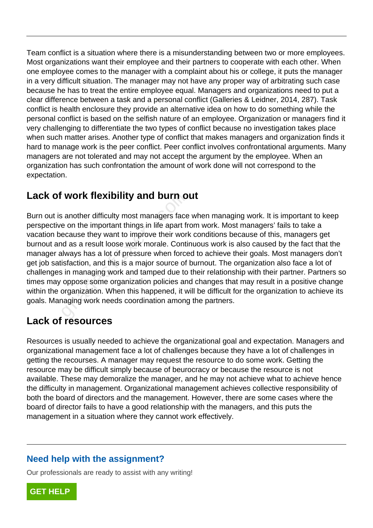Team conflict is a situation where there is a misunderstanding between two or more employees. Most organizations want their employee and their partners to cooperate with each other. When one employee comes to the manager with a complaint about his or college, it puts the manager in a very difficult situation. The manager may not have any proper way of arbitrating such case because he has to treat the entire employee equal. Managers and organizations need to put a clear difference between a task and a personal conflict (Galleries & Leidner, 2014, 287). Task conflict is health enclosure they provide an alternative idea on how to do something while the personal conflict is based on the selfish nature of an employee. Organization or managers find it very challenging to differentiate the two types of conflict because no investigation takes place when such matter arises. Another type of conflict that makes managers and organization finds it hard to manage work is the peer conflict. Peer conflict involves confrontational arguments. Many managers are not tolerated and may not accept the argument by the employee. When an organization has such confrontation the amount of work done will not correspond to the expectation.

## **Lack of work flexibility and burn out**

Burn out is another difficulty most managers face when managing work. It is important to keep perspective on the important things in life apart from work. Most managers' fails to take a vacation because they want to improve their work conditions because of this, managers get burnout and as a result loose work morale. Continuous work is also caused by the fact that the manager always has a lot of pressure when forced to achieve their goals. Most managers don't get job satisfaction, and this is a major source of burnout. The organization also face a lot of challenges in managing work and tamped due to their relationship with their partner. Partners so times may oppose some organization policies and changes that may result in a positive change within the organization. When this happened, it will be difficult for the organization to achieve its goals. Managing work needs coordination among the partners. **WOTK TIEXIDIIIty and burn o**<br>s another difficulty most managers face<br>e on the important things in life apart fr<br>ecause they want to improve their world<br>as a result loose work morale. Contil<br>llways has a lot of pressure wh

## **Lack of resources**

Resources is usually needed to achieve the organizational goal and expectation. Managers and organizational management face a lot of challenges because they have a lot of challenges in getting the recourses. A manager may request the resource to do some work. Getting the resource may be difficult simply because of beurocracy or because the resource is not available. These may demoralize the manager, and he may not achieve what to achieve hence the difficulty in management. Organizational management achieves collective responsibility of both the board of directors and the management. However, there are some cases where the board of director fails to have a good relationship with the managers, and this puts the management in a situation where they cannot work effectively.

#### **Need help with the assignment?**

Our professionals are ready to assist with any writing!

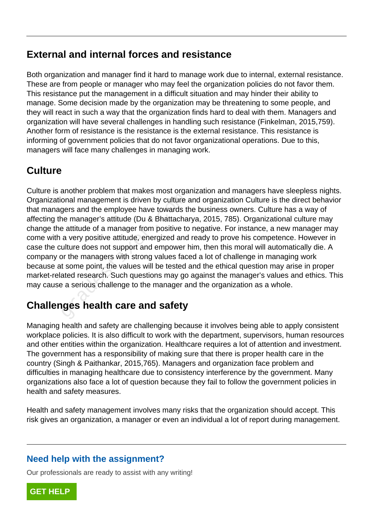## **External and internal forces and resistance**

Both organization and manager find it hard to manage work due to internal, external resistance. These are from people or manager who may feel the organization policies do not favor them. This resistance put the management in a difficult situation and may hinder their ability to manage. Some decision made by the organization may be threatening to some people, and they will react in such a way that the organization finds hard to deal with them. Managers and organization will have several challenges in handling such resistance (Finkelman, 2015,759). Another form of resistance is the resistance is the external resistance. This resistance is informing of government policies that do not favor organizational operations. Due to this, managers will face many challenges in managing work.

## **Culture**

Culture is another problem that makes most organization and managers have sleepless nights. Organizational management is driven by culture and organization Culture is the direct behavior that managers and the employee have towards the business owners. Culture has a way of affecting the manager's attitude (Du & Bhattacharya, 2015, 785). Organizational culture may change the attitude of a manager from positive to negative. For instance, a new manager may come with a very positive attitude, energized and ready to prove his competence. However in case the culture does not support and empower him, then this moral will automatically die. A company or the managers with strong values faced a lot of challenge in managing work because at some point, the values will be tested and the ethical question may arise in proper market-related research. Such questions may go against the manager's values and ethics. This may cause a serious challenge to the manager and the organization as a whole. onal management is driven by culture a<br>gers and the employee have towards the<br>manager's attitude (Du & Bhattacha<br>e attitude of a manager from positive to<br>a very positive attitude, energized and<br>ulture does not support and

# **Challenges health care and safety**

Managing health and safety are challenging because it involves being able to apply consistent workplace policies. It is also difficult to work with the department, supervisors, human resources and other entities within the organization. Healthcare requires a lot of attention and investment. The government has a responsibility of making sure that there is proper health care in the country (Singh & Paithankar, 2015,765). Managers and organization face problem and difficulties in managing healthcare due to consistency interference by the government. Many organizations also face a lot of question because they fail to follow the government policies in health and safety measures.

Health and safety management involves many risks that the organization should accept. This risk gives an organization, a manager or even an individual a lot of report during management.

#### **Need help with the assignment?**

Our professionals are ready to assist with any writing!